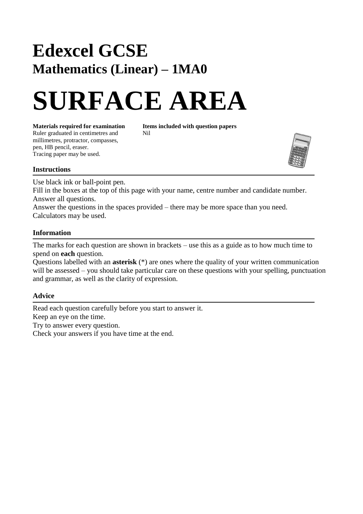## **Edexcel GCSE Mathematics (Linear) – 1MA0**

# **SURFACE AREA**

Ruler graduated in centimetres and Nil millimetres, protractor, compasses, pen, HB pencil, eraser. Tracing paper may be used.

**Materials required for examination Items included with question papers**



#### **Instructions**

Use black ink or ball-point pen.

Fill in the boxes at the top of this page with your name, centre number and candidate number. Answer all questions.

Answer the questions in the spaces provided – there may be more space than you need. Calculators may be used.

#### **Information**

The marks for each question are shown in brackets – use this as a guide as to how much time to spend on **each** question.

Questions labelled with an **asterisk** (\*) are ones where the quality of your written communication will be assessed – you should take particular care on these questions with your spelling, punctuation and grammar, as well as the clarity of expression.

### **Advice**

Read each question carefully before you start to answer it. Keep an eye on the time. Try to answer every question. Check your answers if you have time at the end.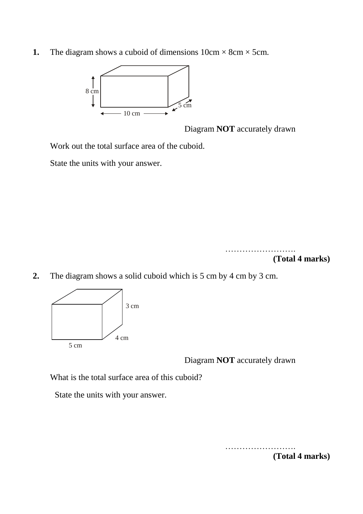**1.** The diagram shows a cuboid of dimensions  $10 \text{cm} \times 8 \text{cm} \times 5 \text{cm}$ .



Diagram **NOT** accurately drawn

Work out the total surface area of the cuboid.

State the units with your answer.



**2.** The diagram shows a solid cuboid which is 5 cm by 4 cm by 3 cm.



Diagram **NOT** accurately drawn

What is the total surface area of this cuboid?

State the units with your answer.

………………………

**(Total 4 marks)**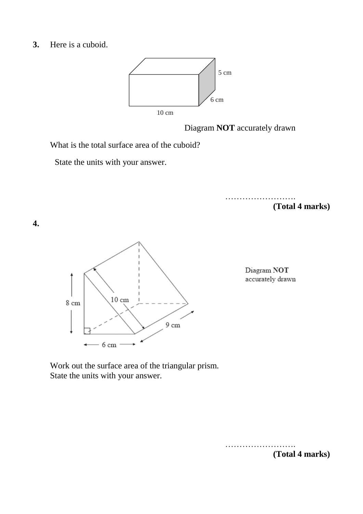**3.** Here is a cuboid.



Diagram **NOT** accurately drawn

What is the total surface area of the cuboid?

State the units with your answer.

……………………. **(Total 4 marks)**



Diagram NOT accurately drawn

Work out the surface area of the triangular prism. State the units with your answer.



**4.**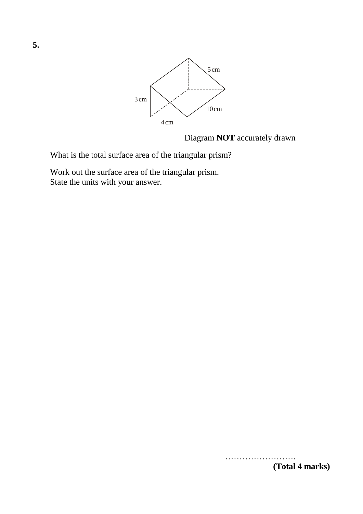

Diagram **NOT** accurately drawn

What is the total surface area of the triangular prism?

Work out the surface area of the triangular prism. State the units with your answer.

> ……………………. **(Total 4 marks)**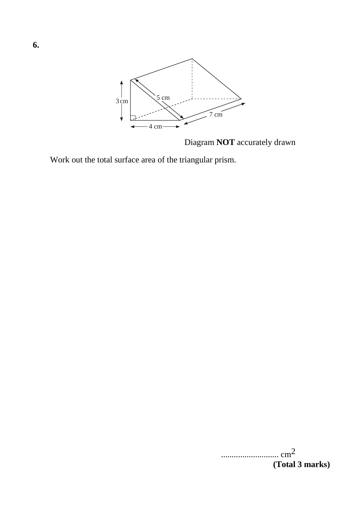

Diagram **NOT** accurately drawn

Work out the total surface area of the triangular prism.

| $\cdots$ cm <sup>2</sup> |                 |
|--------------------------|-----------------|
|                          | (Total 3 marks) |

**6.**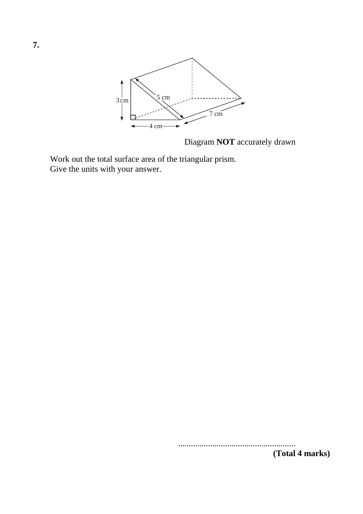

Diagram **NOT** accurately drawn

Work out the total surface area of the triangular prism. Give the units with your answer.

.......................................................

**(Total 4 marks)**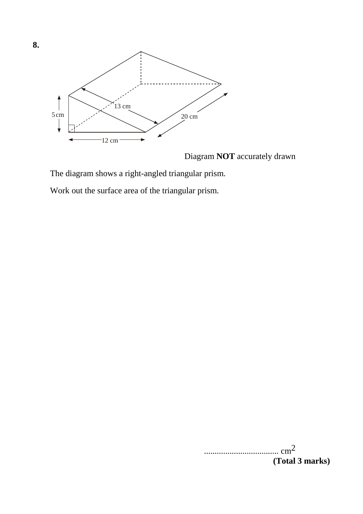

Diagram **NOT** accurately drawn

The diagram shows a right-angled triangular prism.

Work out the surface area of the triangular prism.

 $\ldots$  cm<sup>2</sup> **(Total 3 marks)**